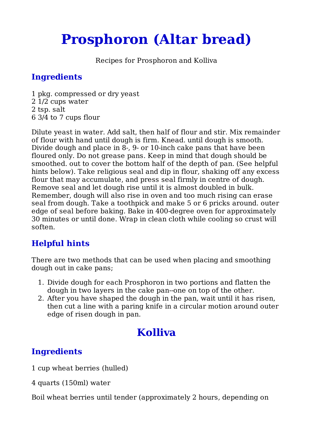# **Prosphoron (Altar bread)**

Recipes for Prosphoron and Kolliva

### **Ingredients**

1 pkg. compressed or dry yeast 2 1/2 cups water 2 tsp. salt 6 3/4 to 7 cups flour

Dilute yeast in water. Add salt, then half of flour and stir. Mix remainder of flour with hand until dough is firm. Knead. until dough is smooth. Divide dough and place in 8-, 9- or 10-inch cake pans that have been floured only. Do not grease pans. Keep in mind that dough should be smoothed. out to cover the bottom half of the depth of pan. (See helpful hints below). Take religious seal and dip in flour, shaking off any excess flour that may accumulate, and press seal firmly in centre of dough. Remove seal and let dough rise until it is almost doubled in bulk. Remember, dough will also rise in oven and too much rising can erase seal from dough. Take a toothpick and make 5 or 6 pricks around. outer edge of seal before baking. Bake in 400-degree oven for approximately 30 minutes or until done. Wrap in clean cloth while cooling so crust will soften.

# **Helpful hints**

There are two methods that can be used when placing and smoothing dough out in cake pans;

- 1. Divide dough for each Prosphoron in two portions and flatten the dough in two layers in the cake pan--one on top of the other.
- After you have shaped the dough in the pan, wait until it has risen, 2. then cut a line with a paring knife in a circular motion around outer edge of risen dough in pan.

# **Kolliva**

# **Ingredients**

1 cup wheat berries (hulled)

4 quarts (150ml) water

Boil wheat berries until tender (approximately 2 hours, depending on